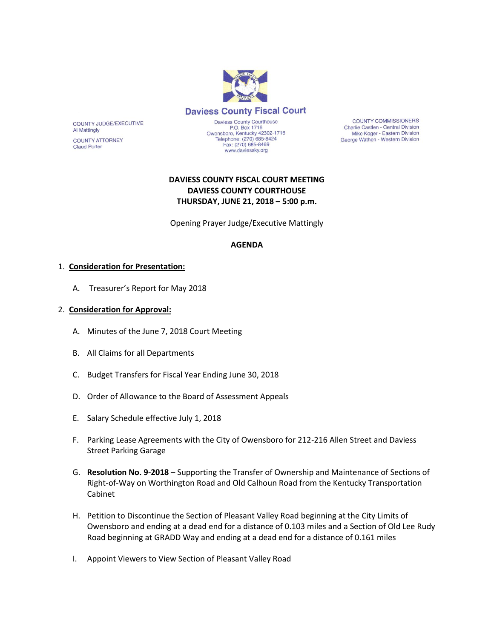

**COUNTY COMMISSIONERS** Charlie Castlen - Central Division Mike Koger - Eastern Division George Wathen - Western Division

# **DAVIESS COUNTY FISCAL COURT MEETING DAVIESS COUNTY COURTHOUSE THURSDAY, JUNE 21, 2018 – 5:00 p.m.**

Opening Prayer Judge/Executive Mattingly

#### **AGENDA**

#### 1. **Consideration for Presentation:**

COUNTY JUDGE/EXECUTIVE

**COUNTY ATTORNEY** 

**Al Mattingly** 

**Claud Porter** 

A. Treasurer's Report for May 2018

#### 2. **Consideration for Approval:**

- A. Minutes of the June 7, 2018 Court Meeting
- B. All Claims for all Departments
- C. Budget Transfers for Fiscal Year Ending June 30, 2018
- D. Order of Allowance to the Board of Assessment Appeals
- E. Salary Schedule effective July 1, 2018
- F. Parking Lease Agreements with the City of Owensboro for 212-216 Allen Street and Daviess Street Parking Garage
- G. **Resolution No. 9-2018** Supporting the Transfer of Ownership and Maintenance of Sections of Right-of-Way on Worthington Road and Old Calhoun Road from the Kentucky Transportation Cabinet
- H. Petition to Discontinue the Section of Pleasant Valley Road beginning at the City Limits of Owensboro and ending at a dead end for a distance of 0.103 miles and a Section of Old Lee Rudy Road beginning at GRADD Way and ending at a dead end for a distance of 0.161 miles
- I. Appoint Viewers to View Section of Pleasant Valley Road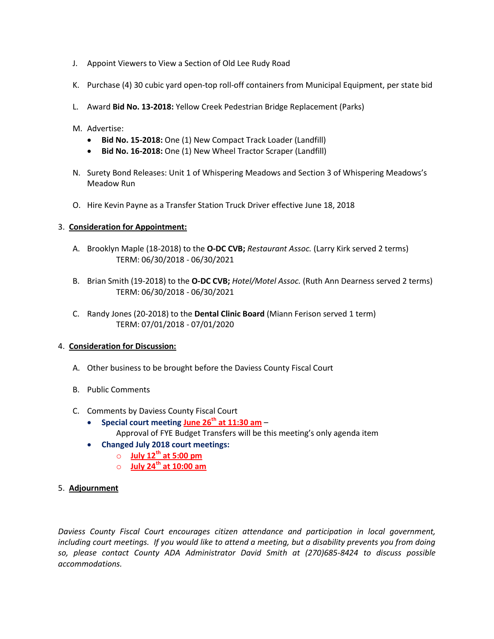- J. Appoint Viewers to View a Section of Old Lee Rudy Road
- K. Purchase (4) 30 cubic yard open-top roll-off containers from Municipal Equipment, per state bid
- L. Award **Bid No. 13-2018:** Yellow Creek Pedestrian Bridge Replacement (Parks)
- M. Advertise:
	- **Bid No. 15-2018:** One (1) New Compact Track Loader (Landfill)
	- **Bid No. 16-2018:** One (1) New Wheel Tractor Scraper (Landfill)
- N. Surety Bond Releases: Unit 1 of Whispering Meadows and Section 3 of Whispering Meadows's Meadow Run
- O. Hire Kevin Payne as a Transfer Station Truck Driver effective June 18, 2018

### 3. **Consideration for Appointment:**

- A. Brooklyn Maple (18-2018) to the **O-DC CVB;** *Restaurant Assoc.* (Larry Kirk served 2 terms) TERM: 06/30/2018 - 06/30/2021
- B. Brian Smith (19-2018) to the **O-DC CVB;** *Hotel/Motel Assoc.* (Ruth Ann Dearness served 2 terms) TERM: 06/30/2018 - 06/30/2021
- C. Randy Jones (20-2018) to the **Dental Clinic Board** (Miann Ferison served 1 term) TERM: 07/01/2018 - 07/01/2020

## 4. **Consideration for Discussion:**

- A. Other business to be brought before the Daviess County Fiscal Court
- B. Public Comments
- C. Comments by Daviess County Fiscal Court
	- **Special court meeting June 26th at 11:30 am** Approval of FYE Budget Transfers will be this meeting's only agenda item
	- **Changed July 2018 court meetings:**
		- o **July 12th at 5:00 pm**
		- o **July 24th at 10:00 am**
- 5. **Adjournment**

*Daviess County Fiscal Court encourages citizen attendance and participation in local government, including court meetings. If you would like to attend a meeting, but a disability prevents you from doing so, please contact County ADA Administrator David Smith at (270)685-8424 to discuss possible accommodations.*